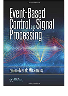Copyright of Material

## Event-Based **Control** Signal **Processing**

Edited by Marek Miskowicz



**Copyrighted Mat**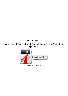**Marek Miskowicz**

**Event-Based Control and Signal Processing (Embedded Systems)**

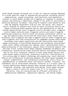Event-based systems certainly are a class of reactive systems deployed in a broad spectral range of engineering disciplines including control, communication, signal processing, and electronic instrumentation. Actions in event-based systems are triggered in response to occasions usually representing a significant change of the state of controlled or monitored physical variables. Featuring 23 chapters contributed by more than 60 leading researchers from all over the world, this reserve covers: Methods of analysis and style of event-structured control and signal processing Event-powered control and optimization of hybrid systems Decentralized event-triggered control Periodic event-triggered control Model-centered event-triggered control and event-triggered generalized predictive control Event-structured intermittent control in guy and machine Event-structured PID controllers Event-based state estimation Self-triggered and team-triggered control Event-triggered and time-triggered real-time architectures for embedded systems Event-based continuous-time signal acquisition and DSP Statistical event-based signal processing in distributed detection and estimation Asynchronous spike event coding technique with address event representation Eventbased processing of non-stationary signals Event-structured digital (FIR and IIR) filter systems Event-based regional bandwidth estimation and transmission reconstruction Event-Centered Control and Signal Processing may be the first extensive research on both event-based control and event-based signal processing, presenting scientific contributions at the cutting edge of modern technology and engineering. Event-Centered Control and Transmission Processing examines the event-based paradigm in charge, communication, and transmission processing, with a focus on implementation in networked sensor and control systems. Presently, the economical use of constrained technical resources is a crucial issue in various application domains because many systems become more and more networked, wireless, and spatially distributed. Event-based systems adopt a style of calls for assets only if it is necessary, and therefore, they are characterized by efficient utilization of communication bandwidth, computation capacity, and energy budget.